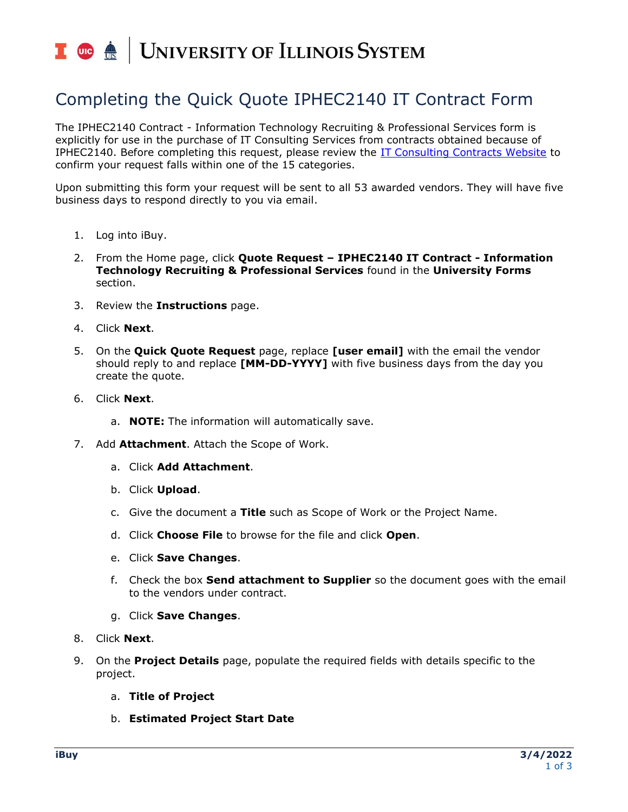#### **UNIVERSITY OF ILLINOIS SYSTEM** T due de

# Completing the Quick Quote IPHEC2140 IT Contract Form

The IPHEC2140 Contract - Information Technology Recruiting & Professional Services form is explicitly for use in the purchase of IT Consulting Services from contracts obtained because of IPHEC2140. Before completing this request, please review the **IT Consulting Contracts Website** to confirm your request falls within one of the 15 categories.

Upon submitting this form your request will be sent to all 53 awarded vendors. They will have five business days to respond directly to you via email.

- 1. Log into iBuy.
- 2. From the Home page, click **Quote Request – IPHEC2140 IT Contract - Information Technology Recruiting & Professional Services** found in the **University Forms** section.
- 3. Review the **Instructions** page.
- 4. Click **Next**.
- 5. On the **Quick Quote Request** page, replace **[user email]** with the email the vendor should reply to and replace **[MM-DD-YYYY]** with five business days from the day you create the quote.
- 6. Click **Next**.
	- a. **NOTE:** The information will automatically save.
- 7. Add **Attachment**. Attach the Scope of Work.
	- a. Click **Add Attachment**.
	- b. Click **Upload**.
	- c. Give the document a **Title** such as Scope of Work or the Project Name.
	- d. Click **Choose File** to browse for the file and click **Open**.
	- e. Click **Save Changes**.
	- f. Check the box **Send attachment to Supplier** so the document goes with the email to the vendors under contract.
	- g. Click **Save Changes**.
- 8. Click **Next**.
- 9. On the **Project Details** page, populate the required fields with details specific to the project.
	- a. **Title of Project**
	- b. **Estimated Project Start Date**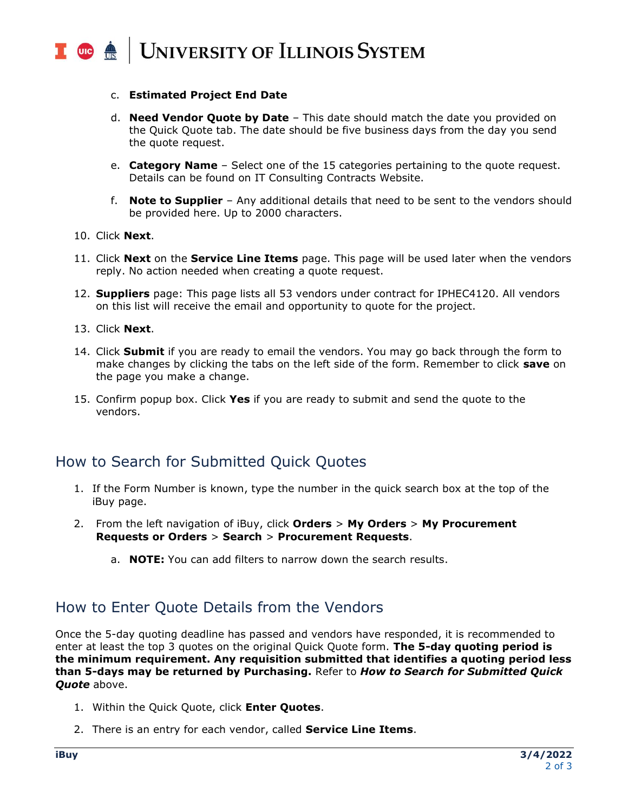#### **UNIVERSITY OF ILLINOIS SYSTEM**  $\blacksquare$  ore  $\spadesuit$

#### c. **Estimated Project End Date**

- d. **Need Vendor Quote by Date** This date should match the date you provided on the Quick Quote tab. The date should be five business days from the day you send the quote request.
- e. **Category Name** Select one of the 15 categories pertaining to the quote request. Details can be found on IT Consulting Contracts Website.
- f. **Note to Supplier** Any additional details that need to be sent to the vendors should be provided here. Up to 2000 characters.
- 10. Click **Next**.
- 11. Click **Next** on the **Service Line Items** page. This page will be used later when the vendors reply. No action needed when creating a quote request.
- 12. **Suppliers** page: This page lists all 53 vendors under contract for IPHEC4120. All vendors on this list will receive the email and opportunity to quote for the project.
- 13. Click **Next**.
- 14. Click **Submit** if you are ready to email the vendors. You may go back through the form to make changes by clicking the tabs on the left side of the form. Remember to click **save** on the page you make a change.
- 15. Confirm popup box. Click **Yes** if you are ready to submit and send the quote to the vendors.

### How to Search for Submitted Quick Quotes

- 1. If the Form Number is known, type the number in the quick search box at the top of the iBuy page.
- 2. From the left navigation of iBuy, click **Orders** > **My Orders** > **My Procurement Requests or Orders** > **Search** > **Procurement Requests**.
	- a. **NOTE:** You can add filters to narrow down the search results.

# How to Enter Quote Details from the Vendors

Once the 5-day quoting deadline has passed and vendors have responded, it is recommended to enter at least the top 3 quotes on the original Quick Quote form. **The 5-day quoting period is the minimum requirement. Any requisition submitted that identifies a quoting period less than 5-days may be returned by Purchasing.** Refer to *How to Search for Submitted Quick Ouote* above.

- 1. Within the Quick Quote, click **Enter Quotes**.
- 2. There is an entry for each vendor, called **Service Line Items**.